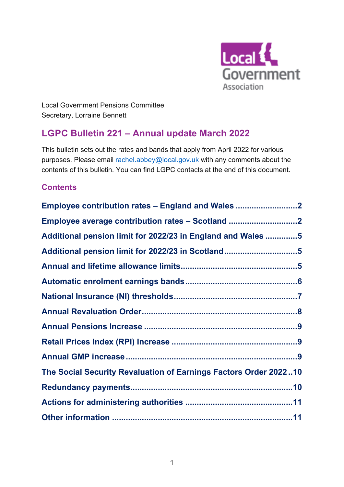

Local Government Pensions Committee Secretary, Lorraine Bennett

# **L G P C Bulletin 221 – Annual update March 2022**

This bulletin sets out the rates and bands that apply from April 2022 for various purposes. Please email [rachel.abbey@local.gov.uk](mailto:rachel.abbey@local.gov.uk) with any comments about the contents of this bulletin. You can find LGPC contacts at the end of this document.

# **Contents**

| Employee contribution rates - England and Wales 2                |  |
|------------------------------------------------------------------|--|
| Employee average contribution rates - Scotland                   |  |
| Additional pension limit for 2022/23 in England and Wales 5      |  |
| Additional pension limit for 2022/23 in Scotland5                |  |
|                                                                  |  |
|                                                                  |  |
|                                                                  |  |
|                                                                  |  |
|                                                                  |  |
|                                                                  |  |
|                                                                  |  |
| The Social Security Revaluation of Earnings Factors Order 202210 |  |
|                                                                  |  |
|                                                                  |  |
|                                                                  |  |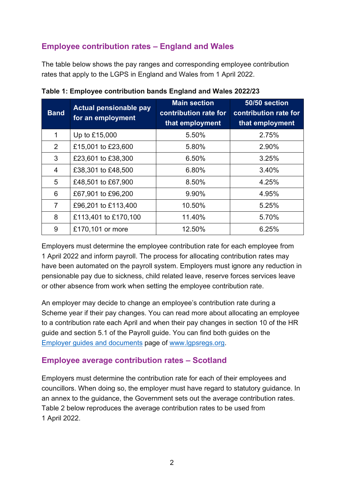# <span id="page-1-0"></span>**Employee contribution rates – England and Wales**

The table below shows the pay ranges and corresponding employee contribution rates that apply to the LGPS in England and Wales from 1 April 2022.

| <b>Band</b>    | <b>Actual pensionable pay</b><br>for an employment | <b>Main section</b><br>contribution rate for<br>that employment | 50/50 section<br>contribution rate for<br>that employment |
|----------------|----------------------------------------------------|-----------------------------------------------------------------|-----------------------------------------------------------|
| 1              | Up to £15,000                                      | 5.50%                                                           | 2.75%                                                     |
| 2              | £15,001 to £23,600                                 | 5.80%                                                           | 2.90%                                                     |
| 3              | £23,601 to £38,300                                 | 6.50%                                                           | 3.25%                                                     |
| $\overline{4}$ | £38,301 to £48,500                                 | 6.80%                                                           | 3.40%                                                     |
| 5              | £48,501 to £67,900                                 | 8.50%                                                           | 4.25%                                                     |
| 6              | £67,901 to £96,200                                 | 9.90%                                                           | 4.95%                                                     |
| $\overline{7}$ | £96,201 to £113,400                                | 10.50%                                                          | 5.25%                                                     |
| 8              | £113,401 to £170,100                               | 11.40%                                                          | 5.70%                                                     |
| 9              | £170,101 or more                                   | 12.50%                                                          | 6.25%                                                     |

**Table 1: Employee contribution bands England and Wales 2022/23**

Employers must determine the employee contribution rate for each employee from 1 April 2022 and inform payroll. The process for allocating contribution rates may have been automated on the payroll system. Employers must ignore any reduction in pensionable pay due to sickness, child related leave, reserve forces services leave or other absence from work when setting the employee contribution rate.

An employer may decide to change an employee's contribution rate during a Scheme year if their pay changes. You can read more about allocating an employee to a contribution rate each April and when their pay changes in section 10 of the HR guide and section 5.1 of the Payroll guide. You can find both guides on the Employer guides [and documents](https://www.lgpsregs.org/employer-resources/guidesetc.php) page of [www.lgpsregs.org.](http://www.lgpsregs.org/)

## <span id="page-1-1"></span>**Employee average contribution rates – Scotland**

Employers must determine the contribution rate for each of their employees and councillors. When doing so, the employer must have regard to statutory guidance. In an annex to the guidance, the Government sets out the average contribution rates. Table 2 below reproduces the average contribution rates to be used from 1 April 2022.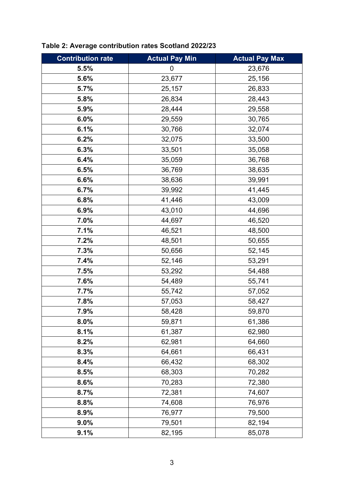| <b>Contribution rate</b> | <b>Actual Pay Min</b> | <b>Actual Pay Max</b> |
|--------------------------|-----------------------|-----------------------|
| 5.5%                     | 0                     | 23,676                |
| 5.6%                     | 23,677                | 25,156                |
| 5.7%                     | 25,157                | 26,833                |
| 5.8%                     | 26,834                | 28,443                |
| 5.9%                     | 28,444                | 29,558                |
| 6.0%                     | 29,559                | 30,765                |
| 6.1%                     | 30,766                | 32,074                |
| 6.2%                     | 32,075                | 33,500                |
| 6.3%                     | 33,501                | 35,058                |
| 6.4%                     | 35,059                | 36,768                |
| 6.5%                     | 36,769                | 38,635                |
| 6.6%                     | 38,636                | 39,991                |
| 6.7%                     | 39,992                | 41,445                |
| 6.8%                     | 41,446                | 43,009                |
| 6.9%                     | 43,010                | 44,696                |
| 7.0%                     | 44,697                | 46,520                |
| 7.1%                     | 46,521                | 48,500                |
| 7.2%                     | 48,501                | 50,655                |
| 7.3%                     | 50,656                | 52,145                |
| 7.4%                     | 52,146                | 53,291                |
| 7.5%                     | 53,292                | 54,488                |
| 7.6%                     | 54,489                | 55,741                |
| 7.7%                     | 55,742                | 57,052                |
| 7.8%                     | 57,053                | 58,427                |
| 7.9%                     | 58,428                | 59,870                |
| 8.0%                     | 59,871                | 61,386                |
| 8.1%                     | 61,387                | 62,980                |
| 8.2%                     | 62,981                | 64,660                |
| 8.3%                     | 64,661                | 66,431                |
| 8.4%                     | 66,432                | 68,302                |
| 8.5%                     | 68,303                | 70,282                |
| 8.6%                     | 70,283                | 72,380                |
| 8.7%                     | 72,381                | 74,607                |
| 8.8%                     | 74,608                | 76,976                |
| 8.9%                     | 76,977                | 79,500                |
| $9.0\%$                  | 79,501                | 82,194                |
| 9.1%                     | 82,195                | 85,078                |

# **Table 2: Average contribution rates Scotland 2022/23**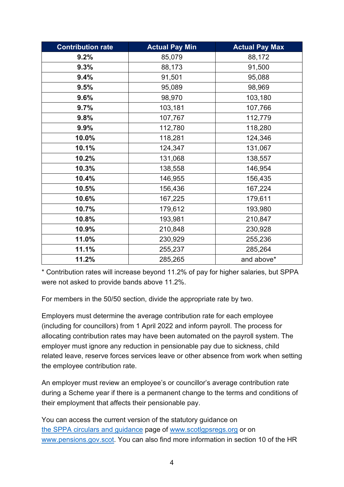| <b>Contribution rate</b> | <b>Actual Pay Min</b> | <b>Actual Pay Max</b> |
|--------------------------|-----------------------|-----------------------|
| 9.2%                     | 85,079                | 88,172                |
| 9.3%                     | 88,173                | 91,500                |
| 9.4%                     | 91,501                | 95,088                |
| 9.5%                     | 95,089                | 98,969                |
| 9.6%                     | 98,970                | 103,180               |
| 9.7%                     | 103,181               | 107,766               |
| 9.8%                     | 107,767               | 112,779               |
| 9.9%                     | 112,780               | 118,280               |
| 10.0%                    | 118,281               | 124,346               |
| 10.1%                    | 124,347               | 131,067               |
| 10.2%                    | 131,068               | 138,557               |
| 10.3%                    | 138,558               | 146,954               |
| 10.4%                    | 146,955               | 156,435               |
| 10.5%                    | 156,436               | 167,224               |
| 10.6%                    | 167,225               | 179,611               |
| 10.7%                    | 179,612               | 193,980               |
| 10.8%                    | 193,981               | 210,847               |
| 10.9%                    | 210,848               | 230,928               |
| 11.0%                    | 230,929               | 255,236               |
| 11.1%                    | 255,237               | 285,264               |
| 11.2%                    | 285,265               | and above*            |

\* Contribution rates will increase beyond 11.2% of pay for higher salaries, but SPPA were not asked to provide bands above 11.2%.

For members in the 50/50 section, divide the appropriate rate by two.

Employers must determine the average contribution rate for each employee (including for councillors) from 1 April 2022 and inform payroll. The process for allocating contribution rates may have been automated on the payroll system. The employer must ignore any reduction in pensionable pay due to sickness, child related leave, reserve forces services leave or other absence from work when setting the employee contribution rate.

An employer must review an employee's or councillor's average contribution rate during a Scheme year if there is a permanent change to the terms and conditions of their employment that affects their pensionable pay.

You can access the current version of the statutory guidance on the SPPA circulars and guidance page of [www.scotlgpsregs.org](http://www.scotlgpsregs.org/) or on [www.pensions.gov.scot.](http://www.pensions.gov.scot/) You can also find more information in section 10 of the HR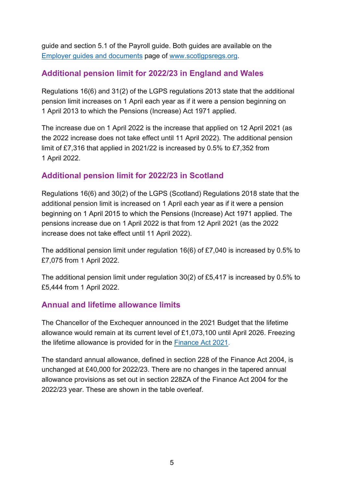guide and section 5.1 of the Payroll guide. Both guides are available on the [Employer guides and documents](https://scotlgpsregs.org/employer-resources/guidesetc.php) page of [www.scotlgpsregs.org.](http://www.scotlgpsregs.org/)

## <span id="page-4-0"></span>**Additional pension limit for 2022/23 in England and Wales**

Regulations 16(6) and 31(2) of the LGPS regulations 2013 state that the additional pension limit increases on 1 April each year as if it were a pension beginning on 1 April 2013 to which the Pensions (Increase) Act 1971 applied.

The increase due on 1 April 2022 is the increase that applied on 12 April 2021 (as the 2022 increase does not take effect until 11 April 2022). The additional pension limit of £7,316 that applied in 2021/22 is increased by 0.5% to £7,352 from 1 April 2022.

## <span id="page-4-1"></span>**Additional pension limit for 2022/23 in Scotland**

Regulations 16(6) and 30(2) of the LGPS (Scotland) Regulations 2018 state that the additional pension limit is increased on 1 April each year as if it were a pension beginning on 1 April 2015 to which the Pensions (Increase) Act 1971 applied. The pensions increase due on 1 April 2022 is that from 12 April 2021 (as the 2022 increase does not take effect until 11 April 2022).

The additional pension limit under regulation 16(6) of £7,040 is increased by 0.5% to £7,075 from 1 April 2022.

The additional pension limit under regulation 30(2) of £5,417 is increased by 0.5% to £5,444 from 1 April 2022.

## <span id="page-4-2"></span>**Annual and lifetime allowance limits**

The Chancellor of the Exchequer announced in the 2021 Budget that the lifetime allowance would remain at its current level of £1,073,100 until April 2026. Freezing the lifetime allowance is provided for in the [Finance Act 2021.](https://www.legislation.gov.uk/ukpga/2021/26/contents)

The standard annual allowance, defined in section 228 of the Finance Act 2004, is unchanged at £40,000 for 2022/23. There are no changes in the tapered annual allowance provisions as set out in section 228ZA of the Finance Act 2004 for the 2022/23 year. These are shown in the table overleaf.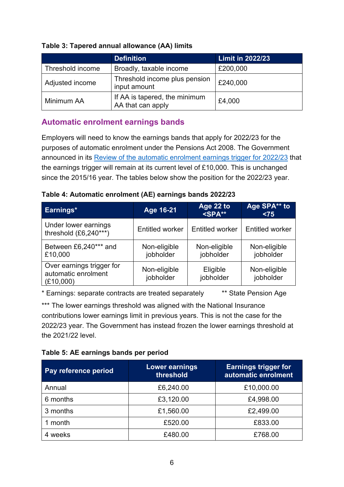|                  | <b>Definition</b>                                         | <b>Limit in 2022/23</b> |
|------------------|-----------------------------------------------------------|-------------------------|
| Threshold income | Broadly, taxable income                                   | £200,000                |
| Adjusted income  | Threshold income plus pension<br>£240,000<br>input amount |                         |
| Minimum AA       | If AA is tapered, the minimum<br>AA that can apply        | £4,000                  |

#### **Table 3: Tapered annual allowance (AA) limits**

## <span id="page-5-0"></span>**Automatic enrolment earnings bands**

Employers will need to know the earnings bands that apply for 2022/23 for the purposes of automatic enrolment under the Pensions Act 2008. The Government announced in its [Review of the automatic enrolment earnings trigger](https://www.gov.uk/government/publications/automatic-enrolment-review-of-the-earnings-trigger-and-qualifying-earnings-band-for-202223) for 2022/23 that the earnings trigger will remain at its current level of £10,000. This is unchanged since the 2015/16 year. The tables below show the position for the 2022/23 year.

| Table 4: Automatic enrolment (AE) earnings bands 2022/23 |  |
|----------------------------------------------------------|--|
|----------------------------------------------------------|--|

| Earnings*                                                     | Age 16-21                 | Age 22 to<br>$<$ SPA $**$ | Age SPA <sup>**</sup> to<br>< 75 |
|---------------------------------------------------------------|---------------------------|---------------------------|----------------------------------|
| Under lower earnings<br>threshold $(E6, 240***)$              | <b>Entitled worker</b>    | <b>Entitled worker</b>    | <b>Entitled worker</b>           |
| Between £6,240*** and<br>£10,000                              | Non-eligible<br>jobholder | Non-eligible<br>jobholder | Non-eligible<br>jobholder        |
| Over earnings trigger for<br>automatic enrolment<br>(E10,000) | Non-eligible<br>jobholder | Eligible<br>jobholder     | Non-eligible<br>jobholder        |

\* Earnings: separate contracts are treated separately \*\* State Pension Age

\*\*\* The lower earnings threshold was aligned with the National Insurance contributions lower earnings limit in previous years. This is not the case for the 2022/23 year. The Government has instead frozen the lower earnings threshold at the 2021/22 level.

| Table 5: AE earnings bands per period |
|---------------------------------------|
|---------------------------------------|

| Pay reference period | <b>Lower earnings</b><br>threshold | <b>Earnings trigger for</b><br>automatic enrolment |  |
|----------------------|------------------------------------|----------------------------------------------------|--|
| Annual               | £6,240.00                          | £10,000.00                                         |  |
| 6 months             | £3,120.00                          | £4,998.00                                          |  |
| 3 months             | £1,560.00                          | £2,499.00                                          |  |
| month                | £520.00                            | £833.00                                            |  |
| 4 weeks              | £480.00                            | £768.00                                            |  |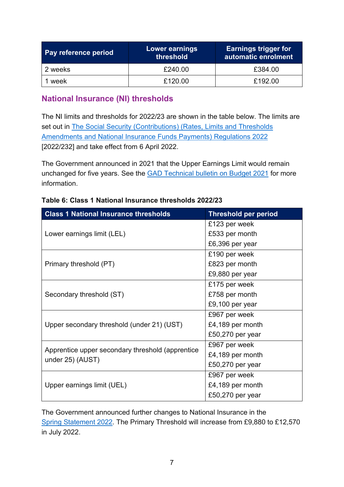| Pay reference period | Lower earnings<br>threshold | <b>Earnings trigger for</b><br>automatic enrolment |
|----------------------|-----------------------------|----------------------------------------------------|
| 2 weeks              | £240.00                     | £384.00                                            |
| week                 | £120.00                     | £192.00                                            |

## <span id="page-6-0"></span>**National Insurance (NI) thresholds**

The NI limits and thresholds for 2022/23 are shown in the table below. The limits are set out in [The Social Security \(Contributions\) \(Rates, Limits and Thresholds](https://www.legislation.gov.uk/uksi/2022/232/contents/made)  [Amendments and National Insurance Funds Payments\) Regulations 2022](https://www.legislation.gov.uk/uksi/2022/232/contents/made) [2022/232] and take effect from 6 April 2022.

The Government announced in 2021 that the Upper Earnings Limit would remain unchanged for five years. See the **GAD Technical bulletin on Budget 2021** for more information.

| <b>Class 1 National Insurance thresholds</b>     | <b>Threshold per period</b> |  |
|--------------------------------------------------|-----------------------------|--|
|                                                  | £123 per week               |  |
| Lower earnings limit (LEL)                       | £533 per month              |  |
|                                                  | £6,396 per year             |  |
|                                                  | £190 per week               |  |
| Primary threshold (PT)                           | £823 per month              |  |
|                                                  | £9,880 per year             |  |
|                                                  | £175 per week               |  |
| Secondary threshold (ST)                         | £758 per month              |  |
|                                                  | £9,100 per year             |  |
|                                                  | £967 per week               |  |
| Upper secondary threshold (under 21) (UST)       | £4,189 per month            |  |
|                                                  | £50,270 per year            |  |
| Apprentice upper secondary threshold (apprentice | £967 per week               |  |
| under 25) (AUST)                                 | £4,189 per month            |  |
|                                                  | £50,270 per year            |  |
|                                                  | £967 per week               |  |
| Upper earnings limit (UEL)                       | £4,189 per month            |  |
|                                                  | £50,270 per year            |  |

#### **Table 6: Class 1 National Insurance thresholds 2022/23**

The Government announced further changes to National Insurance in the Spring [Statement](https://www.gov.uk/government/publications/spring-statement-2022-documents/spring-statement-2022-html) 2022. The Primary Threshold will increase from £9,880 to £12,570 in July 2022.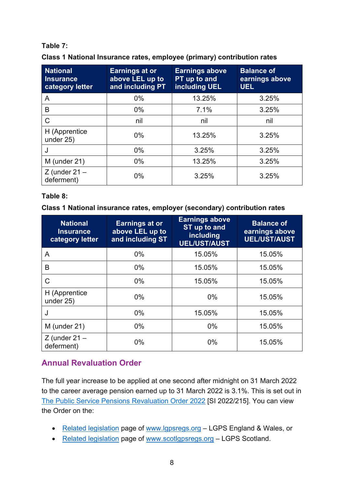### **Table 7:**

| Class 1 National Insurance rates, employee (primary) contribution rates |  |  |  |  |  |  |  |  |  |
|-------------------------------------------------------------------------|--|--|--|--|--|--|--|--|--|
|-------------------------------------------------------------------------|--|--|--|--|--|--|--|--|--|

| <b>National</b><br><b>Insurance</b><br>category letter | <b>Earnings at or</b><br>above LEL up to<br>and including PT | <b>Earnings above</b><br>PT up to and<br><b>including UEL</b> | <b>Balance of</b><br>earnings above<br><b>UEL</b> |
|--------------------------------------------------------|--------------------------------------------------------------|---------------------------------------------------------------|---------------------------------------------------|
| A                                                      | $0\%$                                                        | 13.25%                                                        | 3.25%                                             |
| B                                                      | $0\%$                                                        | 7.1%                                                          | 3.25%                                             |
| $\mathsf{C}$                                           | nil                                                          | nil                                                           | nil                                               |
| H (Apprentice<br>under 25)                             | $0\%$                                                        | 13.25%                                                        | 3.25%                                             |
| J                                                      | $0\%$                                                        | 3.25%                                                         | 3.25%                                             |
| M (under 21)                                           | $0\%$                                                        | 13.25%                                                        | 3.25%                                             |
| $Z$ (under 21 $-$<br>deferment)                        | 0%                                                           | 3.25%                                                         | 3.25%                                             |

#### **Table 8:**

#### **Class 1 National insurance rates, employer (secondary) contribution rates**

| <b>National</b><br><b>Insurance</b><br>category letter | <b>Earnings at or</b><br>above LEL up to<br>and including ST | <b>Earnings above</b><br>ST up to and<br>including<br><b>UEL/UST/AUST</b> | <b>Balance of</b><br>earnings above<br><b>UEL/UST/AUST</b> |
|--------------------------------------------------------|--------------------------------------------------------------|---------------------------------------------------------------------------|------------------------------------------------------------|
| A                                                      | $0\%$                                                        | 15.05%                                                                    | 15.05%                                                     |
| В                                                      | $0\%$                                                        | 15.05%                                                                    | 15.05%                                                     |
| C                                                      | $0\%$                                                        | 15.05%                                                                    | 15.05%                                                     |
| H (Apprentice<br>under 25)                             | $0\%$                                                        | $0\%$                                                                     | 15.05%                                                     |
| J                                                      | $0\%$                                                        | 15.05%                                                                    | 15.05%                                                     |
| M (under 21)                                           | $0\%$                                                        | $0\%$                                                                     | 15.05%                                                     |
| $Z$ (under 21 $-$<br>deferment)                        | $0\%$                                                        | $0\%$                                                                     | 15.05%                                                     |

## <span id="page-7-0"></span>**Annual Revaluation Order**

The full year increase to be applied at one second after midnight on 31 March 2022 to the career average pension earned up to 31 March 2022 is 3.1%. This is set out in [The Public Service Pensions Revaluation Order 2022](https://www.legislation.gov.uk/uksi/2022/215/contents/made) [SI 2022/215]. You can view the Order on the:

- [Related legislation](http://www.lgpsregs.org/landscape/relatedleg.php) page of [www.lgpsregs.org](http://www.lgpsregs.org/)  LGPS England & Wales, or
- [Related legislation](http://www.scotlgpsregs.org/landscape/relatedleg.php) page of [www.scotlgpsregs.org](http://www.scotlgpsregs.org/)  LGPS Scotland.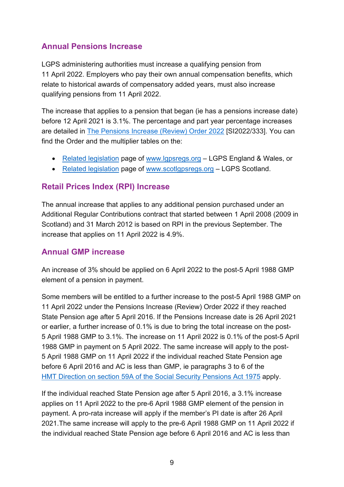## <span id="page-8-0"></span>**Annual Pensions Increase**

LGPS administering authorities must increase a qualifying pension from 11 April 2022. Employers who pay their own annual compensation benefits, which relate to historical awards of compensatory added years, must also increase qualifying pensions from 11 April 2022.

The increase that applies to a pension that began (ie has a pensions increase date) before 12 April 2021 is 3.1%. The percentage and part year percentage increases are detailed in [The Pensions Increase \(Review\) Order 2022](https://www.legislation.gov.uk/uksi/2022/333/contents/made) [SI2022/333]. You can find the Order and the multiplier tables on the:

- [Related legislation](http://www.lgpsregs.org/landscape/relatedleg.php) page of [www.lgpsregs.org](http://www.lgpsregs.org/)  LGPS England & Wales, or
- [Related legislation](http://www.scotlgpsregs.org/landscape/relatedleg.php) page of [www.scotlgpsregs.org](http://www.scotlgpsregs.org/)  LGPS Scotland.

## <span id="page-8-1"></span>**Retail Prices Index (RPI) Increase**

The annual increase that applies to any additional pension purchased under an Additional Regular Contributions contract that started between 1 April 2008 (2009 in Scotland) and 31 March 2012 is based on RPI in the previous September. The increase that applies on 11 April 2022 is 4.9%.

### <span id="page-8-2"></span>**Annual GMP increase**

An increase of 3% should be applied on 6 April 2022 to the post-5 April 1988 GMP element of a pension in payment.

Some members will be entitled to a further increase to the post-5 April 1988 GMP on 11 April 2022 under the Pensions Increase (Review) Order 2022 if they reached State Pension age after 5 April 2016. If the Pensions Increase date is 26 April 2021 or earlier, a further increase of 0.1% is due to bring the total increase on the post-5 April 1988 GMP to 3.1%. The increase on 11 April 2022 is 0.1% of the post-5 April 1988 GMP in payment on 5 April 2022. The same increase will apply to the post-5 April 1988 GMP on 11 April 2022 if the individual reached State Pension age before 6 April 2016 and AC is less than GMP, ie paragraphs 3 to 6 of the [HMT Direction on section 59A of the Social Security Pensions Act 1975](https://www.lgpslibrary.org/assets/dirs/20160405S59A.pdf) apply.

If the individual reached State Pension age after 5 April 2016, a 3.1% increase applies on 11 April 2022 to the pre-6 April 1988 GMP element of the pension in payment. A pro-rata increase will apply if the member's PI date is after 26 April 2021.The same increase will apply to the pre-6 April 1988 GMP on 11 April 2022 if the individual reached State Pension age before 6 April 2016 and AC is less than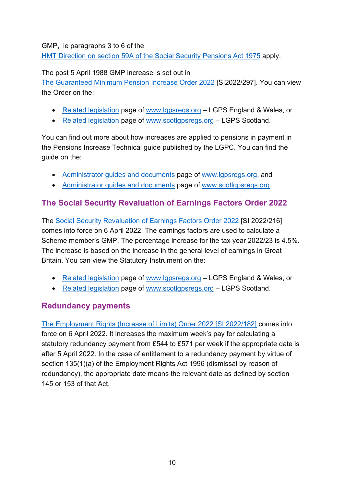#### GMP, ie paragraphs 3 to 6 of the

[HMT Direction on section 59A of the Social Security Pensions Act 1975](https://www.lgpslibrary.org/assets/dirs/20160405S59A.pdf) apply.

#### The post 5 April 1988 GMP increase is set out in

[The Guaranteed Minimum Pension Increase Order 2022](https://www.legislation.gov.uk/uksi/2022/297/contents/made) [SI2022/297]. You can view the Order on the:

- [Related legislation](http://www.lgpsregs.org/landscape/relatedleg.php) page of [www.lgpsregs.org](http://www.lgpsregs.org/)  LGPS England & Wales, or
- [Related legislation](http://www.scotlgpsregs.org/landscape/relatedleg.php) page of [www.scotlgpsregs.org](http://www.scotlgpsregs.org/)  LGPS Scotland.

You can find out more about how increases are applied to pensions in payment in the Pensions Increase Technical guide published by the LGPC. You can find the guide on the:

- [Administrator guides](http://www.lgpsregs.org/resources/index.php) and documents page of [www.lgpsregs.org,](http://www.lgpsregs.org/) and
- [Administrator guides and documents](http://www.scotlgpsregs.org/resources/guidesetc.php) page of [www.scotlgpsregs.org.](http://www.scotlgpsregs.org/)

## <span id="page-9-0"></span>**The Social Security Revaluation of Earnings Factors Order 2022**

The [Social Security Revaluation of Earnings Factors Order 2022](https://www.legislation.gov.uk/uksi/2022/216/contents/made) [SI 2022/216] comes into force on 6 April 2022. The earnings factors are used to calculate a Scheme member's GMP. The percentage increase for the tax year 2022/23 is 4.5%. The increase is based on the increase in the general level of earnings in Great Britain. You can view the Statutory Instrument on the:

- [Related legislation](http://www.lgpsregs.org/landscape/relatedleg.php) page of [www.lgpsregs.org](http://www.lgpsregs.org/)  LGPS England & Wales, or
- [Related legislation](http://www.scotlgpsregs.org/landscape/relatedleg.php) page of [www.scotlgpsregs.org](http://www.scotlgpsregs.org/)  LGPS Scotland.

## <span id="page-9-1"></span>**Redundancy payments**

[The Employment Rights \(Increase of Limits\) Order 2022 \[SI 2022/182\]](https://www.legislation.gov.uk/uksi/2022/182/contents/made) comes into force on 6 April 2022. It increases the maximum week's pay for calculating a statutory redundancy payment from £544 to £571 per week if the appropriate date is after 5 April 2022. In the case of entitlement to a redundancy payment by virtue of section 135(1)(a) of the Employment Rights Act 1996 (dismissal by reason of redundancy), the appropriate date means the relevant date as defined by section 145 or 153 of that Act.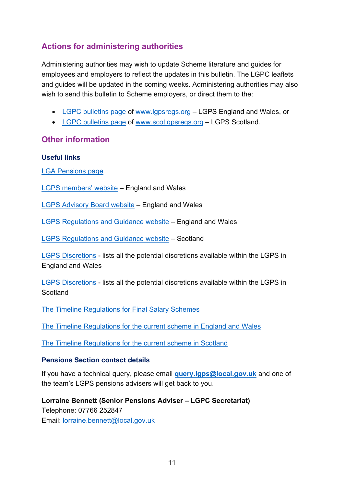# <span id="page-10-0"></span>**Actions for administering authorities**

Administering authorities may wish to update Scheme literature and guides for employees and employers to reflect the updates in this bulletin. The LGPC leaflets and guides will be updated in the coming weeks. Administering authorities may also wish to send this bulletin to Scheme employers, or direct them to the:

- [LGPC bulletins page](https://lgpsregs.org/bulletinsetc/bulletins.php) of [www.lgpsregs.org](http://www.lgpsregs.org/)  LGPS England and Wales, or
- [LGPC bulletins page](http://www.scotlgpsregs.org/bulletinsetc/bulletins.php) of [www.scotlgpsregs.org](http://www.scotlgpsregs.org/)  LGPS Scotland.

## <span id="page-10-1"></span>**Other information**

#### **Useful links**

[LGA Pensions page](https://local.gov.uk/our-support/workforce-and-hr-support/local-government-pensions)

[LGPS members' website](https://www.lgpsmember.org/) – England and Wales

[LGPS Advisory Board website](http://www.lgpsboard.org/) – England and Wales

[LGPS Regulations and Guidance website](http://www.lgpsregs.org/) – England and Wales

[LGPS Regulations and Guidance website](http://www.scotlgpsregs.org/) – Scotland

[LGPS Discretions](http://lgpsregs.org/resources/guidesetc.php) - lists all the potential discretions available within the LGPS in England and Wales

[LGPS Discretions](http://www.scotlgpsregs.org/resources/guidesetc.php) - lists all the potential discretions available within the LGPS in **Scotland** 

[The Timeline Regulations for Final Salary Schemes](http://timeline.lge.gov.uk/)

[The Timeline Regulations for the current scheme in England and Wales](http://lgpsregs.org/schemeregs/lgpsregs2013.php)

[The Timeline Regulations for the current scheme in Scotland](https://www.scotlgpsregs.org/schemeregs/lgpsregs2018.php)

### **Pensions Section contact details**

If you have a technical query, please email **[query.lgps@local.gov.uk](mailto:query.lgps@local.gov.uk)** and one of the team's LGPS pensions advisers will get back to you.

**Lorraine Bennett (Senior Pensions Adviser – LGPC Secretariat)** Telephone: 07766 252847 Email: [lorraine.bennett@local.gov.uk](mailto:lorraine.bennett@local.gov.uk)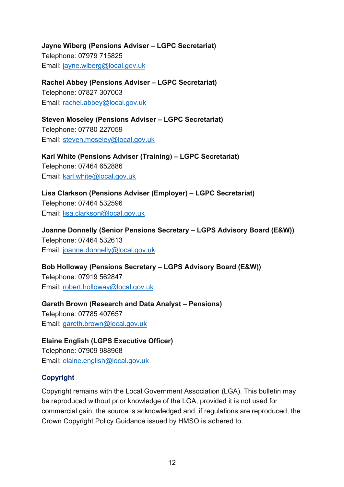**Jayne Wiberg (Pensions Adviser – LGPC Secretariat)** Telephone: 07979 715825 Email: [jayne.wiberg@local.gov.uk](mailto:jayne.wiberg@local.gov.uk)

**Rachel Abbey (Pensions Adviser – LGPC Secretariat)** Telephone: 07827 307003 Email: [rachel.abbey@local.gov.uk](mailto:rachel.abbey@local.gov.uk)

**Steven Moseley (Pensions Adviser – LGPC Secretariat)** Telephone: 07780 227059 Email: [steven.moseley@local.gov.uk](mailto:steven.moseley@local.gov.uk)

**Karl White (Pensions Adviser (Training) – LGPC Secretariat)** Telephone: 07464 652886 Email: [karl.white@local.gov.uk](mailto:karl.white@local.gov.uk)

**Lisa Clarkson (Pensions Adviser (Employer) – LGPC Secretariat)** Telephone: 07464 532596 Email: [lisa.clarkson@local.gov.uk](mailto:lisa.clarkson@local.gov.uk) 

**Joanne Donnelly (Senior Pensions Secretary – LGPS Advisory Board (E&W))** Telephone: 07464 532613 Email: [joanne.donnelly@local.gov.uk](mailto:joanne.donnelly@local.gov.uk) 

**Bob Holloway (Pensions Secretary – LGPS Advisory Board (E&W))** Telephone: 07919 562847 Email: [robert.holloway@local.gov.uk](mailto:robert.holloway@local.gov.uk) 

**Gareth Brown (Research and Data Analyst – Pensions)** Telephone: 07785 407657 Email: [gareth.brown@local.gov.uk](mailto:gareth.brown@local.gov.uk)

**Elaine English (LGPS Executive Officer)** Telephone: 07909 988968 Email: [elaine.english@local.gov.uk](mailto:elaine.english@local.gov.uk)

### **Copyright**

Copyright remains with the Local Government Association (LGA). This bulletin may be reproduced without prior knowledge of the LGA, provided it is not used for commercial gain, the source is acknowledged and, if regulations are reproduced, the Crown Copyright Policy Guidance issued by HMSO is adhered to.